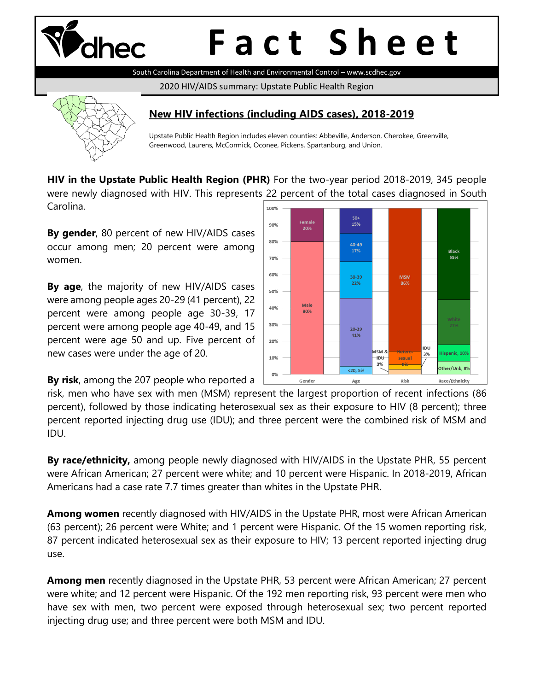

# **F a c t S h e e t**

South Carolina Department of Health and Environmental Control – www.scdhec.gov

2020 HIV/AIDS summary: Upstate Public Health Region



### **New HIV infections (including AIDS cases), 2018-2019**

Upstate Public Health Region includes eleven counties: Abbeville, Anderson, Cherokee, Greenville, Greenwood, Laurens, McCormick, Oconee, Pickens, Spartanburg, and Union.

**HIV in the Upstate Public Health Region (PHR)** For the two-year period 2018-2019, 345 people were newly diagnosed with HIV. This represents 22 percent of the total cases diagnosed in South Carolina.

**By gender**, 80 percent of new HIV/AIDS cases occur among men; 20 percent were among women.

**By age**, the majority of new HIV/AIDS cases were among people ages 20-29 (41 percent), 22 percent were among people age 30-39, 17 percent were among people age 40-49, and 15 percent were age 50 and up. Five percent of new cases were under the age of 20.

**By risk**, among the 207 people who reported a



risk, men who have sex with men (MSM) represent the largest proportion of recent infections (86 percent), followed by those indicating heterosexual sex as their exposure to HIV (8 percent); three percent reported injecting drug use (IDU); and three percent were the combined risk of MSM and IDU.

**By race/ethnicity,** among people newly diagnosed with HIV/AIDS in the Upstate PHR, 55 percent were African American; 27 percent were white; and 10 percent were Hispanic. In 2018-2019, African Americans had a case rate 7.7 times greater than whites in the Upstate PHR.

**Among women** recently diagnosed with HIV/AIDS in the Upstate PHR, most were African American (63 percent); 26 percent were White; and 1 percent were Hispanic. Of the 15 women reporting risk, 87 percent indicated heterosexual sex as their exposure to HIV; 13 percent reported injecting drug use.

**Among men** recently diagnosed in the Upstate PHR, 53 percent were African American; 27 percent were white; and 12 percent were Hispanic. Of the 192 men reporting risk, 93 percent were men who have sex with men, two percent were exposed through heterosexual sex; two percent reported injecting drug use; and three percent were both MSM and IDU.